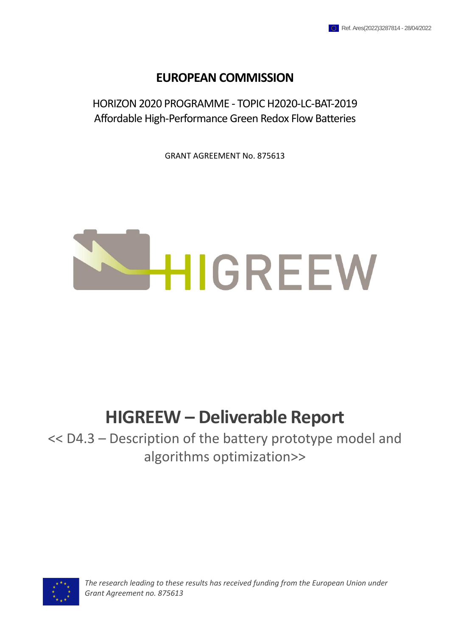## **EUROPEAN COMMISSION**

HORIZON 2020 PROGRAMME - TOPIC H2020-LC-BAT-2019 Affordable High-Performance Green Redox Flow Batteries

GRANT AGREEMENT No. 875613



## **HIGREEW – Deliverable Report**

<< D4.3 – Description of the battery prototype model and algorithms optimization>>



*The research leading to these results has received funding from the European Union under Grant Agreement no. 875613*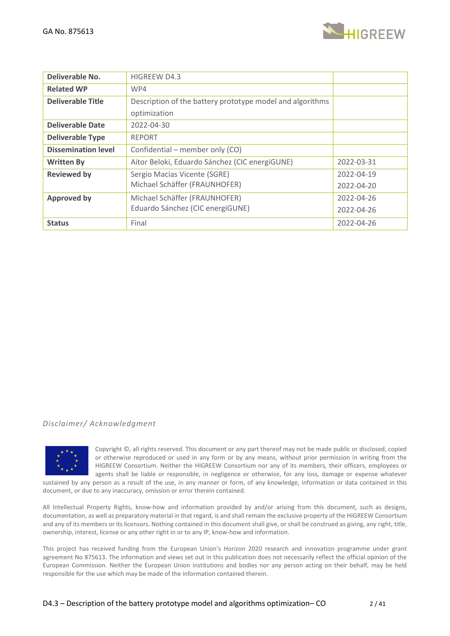

| Deliverable No.            | <b>HIGREEW D4.3</b>                                       |            |
|----------------------------|-----------------------------------------------------------|------------|
| <b>Related WP</b>          | WP4                                                       |            |
| <b>Deliverable Title</b>   | Description of the battery prototype model and algorithms |            |
|                            | optimization                                              |            |
| <b>Deliverable Date</b>    | 2022-04-30                                                |            |
| <b>Deliverable Type</b>    | <b>REPORT</b>                                             |            |
| <b>Dissemination level</b> | Confidential – member only (CO)                           |            |
| <b>Written By</b>          | Aitor Beloki, Eduardo Sánchez (CIC energiGUNE)            | 2022-03-31 |
| <b>Reviewed by</b>         | Sergio Macias Vicente (SGRE)                              | 2022-04-19 |
|                            | Michael Schäffer (FRAUNHOFER)                             | 2022-04-20 |
| <b>Approved by</b>         | Michael Schäffer (FRAUNHOFER)                             | 2022-04-26 |
|                            | Eduardo Sánchez (CIC energiGUNE)                          | 2022-04-26 |
| <b>Status</b>              | Final                                                     | 2022-04-26 |

## *Disclaimer/ Acknowledgment*



Copyright ©, all rights reserved. This document or any part thereof may not be made public or disclosed, copied or otherwise reproduced or used in any form or by any means, without prior permission in writing from the HIGREEW Consortium. Neither the HIGREEW Consortium nor any of its members, their officers, employees or agents shall be liable or responsible, in negligence or otherwise, for any loss, damage or expense whatever sustained by any person as a result of the use, in any manner or form, of any knowledge, information or data contained in this

document, or due to any inaccuracy, omission or error therein contained.

All Intellectual Property Rights, know-how and information provided by and/or arising from this document, such as designs, documentation, as well as preparatory material in that regard, is and shall remain the exclusive property of the HIGREEW Consortium and any of its members or its licensors. Nothing contained in this document shall give, or shall be construed as giving, any right, title, ownership, interest, license or any other right in or to any IP, know-how and information.

This project has received funding from the European Union's Horizon 2020 research and innovation programme under grant agreement No 875613. The information and views set out in this publication does not necessarily reflect the official opinion of the European Commission. Neither the European Union institutions and bodies nor any person acting on their behalf, may be held responsible for the use which may be made of the information contained therein.